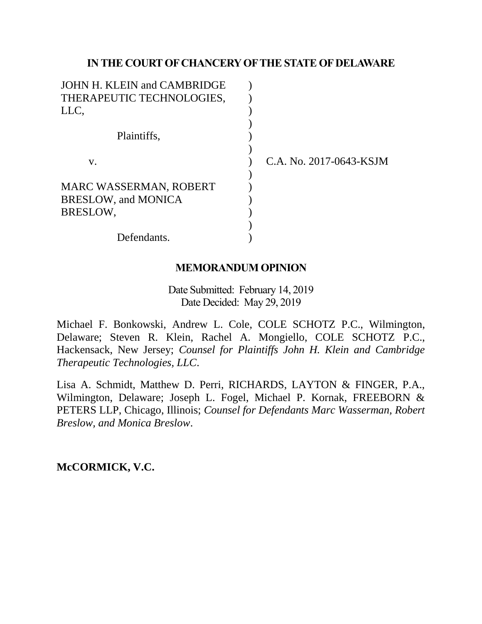# **IN THE COURT OF CHANCERY OF THE STATE OF DELAWARE**

| C.A. No. 2017-0643-KSJM |
|-------------------------|
|                         |
|                         |
|                         |
|                         |
|                         |
|                         |
|                         |

# **MEMORANDUM OPINION**

Date Submitted: February 14, 2019 Date Decided: May 29, 2019

Michael F. Bonkowski, Andrew L. Cole, COLE SCHOTZ P.C., Wilmington, Delaware; Steven R. Klein, Rachel A. Mongiello, COLE SCHOTZ P.C., Hackensack, New Jersey; *Counsel for Plaintiffs John H. Klein and Cambridge Therapeutic Technologies, LLC*.

Lisa A. Schmidt, Matthew D. Perri, RICHARDS, LAYTON & FINGER, P.A., Wilmington, Delaware; Joseph L. Fogel, Michael P. Kornak, FREEBORN & PETERS LLP, Chicago, Illinois; *Counsel for Defendants Marc Wasserman, Robert Breslow, and Monica Breslow*.

**McCORMICK, V.C.**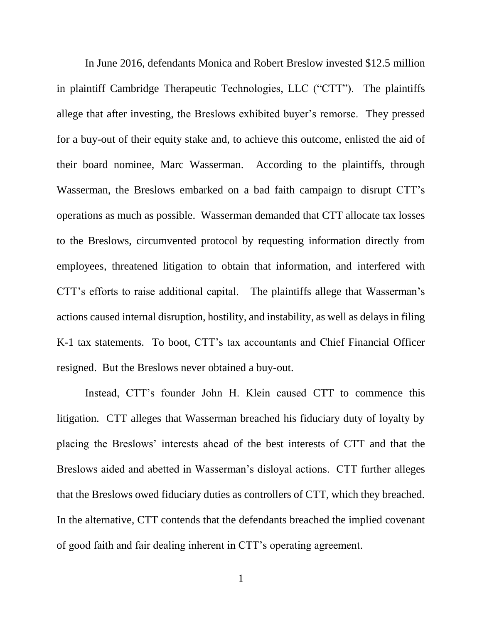In June 2016, defendants Monica and Robert Breslow invested \$12.5 million in plaintiff Cambridge Therapeutic Technologies, LLC ("CTT"). The plaintiffs allege that after investing, the Breslows exhibited buyer's remorse. They pressed for a buy-out of their equity stake and, to achieve this outcome, enlisted the aid of their board nominee, Marc Wasserman. According to the plaintiffs, through Wasserman, the Breslows embarked on a bad faith campaign to disrupt CTT's operations as much as possible. Wasserman demanded that CTT allocate tax losses to the Breslows, circumvented protocol by requesting information directly from employees, threatened litigation to obtain that information, and interfered with CTT's efforts to raise additional capital. The plaintiffs allege that Wasserman's actions caused internal disruption, hostility, and instability, as well as delays in filing K-1 tax statements. To boot, CTT's tax accountants and Chief Financial Officer resigned. But the Breslows never obtained a buy-out.

Instead, CTT's founder John H. Klein caused CTT to commence this litigation. CTT alleges that Wasserman breached his fiduciary duty of loyalty by placing the Breslows' interests ahead of the best interests of CTT and that the Breslows aided and abetted in Wasserman's disloyal actions. CTT further alleges that the Breslows owed fiduciary duties as controllers of CTT, which they breached. In the alternative, CTT contends that the defendants breached the implied covenant of good faith and fair dealing inherent in CTT's operating agreement.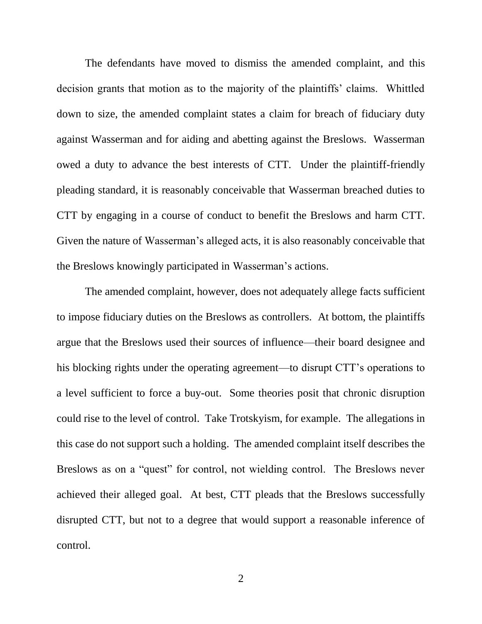The defendants have moved to dismiss the amended complaint, and this decision grants that motion as to the majority of the plaintiffs' claims. Whittled down to size, the amended complaint states a claim for breach of fiduciary duty against Wasserman and for aiding and abetting against the Breslows. Wasserman owed a duty to advance the best interests of CTT. Under the plaintiff-friendly pleading standard, it is reasonably conceivable that Wasserman breached duties to CTT by engaging in a course of conduct to benefit the Breslows and harm CTT. Given the nature of Wasserman's alleged acts, it is also reasonably conceivable that the Breslows knowingly participated in Wasserman's actions.

The amended complaint, however, does not adequately allege facts sufficient to impose fiduciary duties on the Breslows as controllers. At bottom, the plaintiffs argue that the Breslows used their sources of influence—their board designee and his blocking rights under the operating agreement—to disrupt CTT's operations to a level sufficient to force a buy-out. Some theories posit that chronic disruption could rise to the level of control. Take Trotskyism, for example. The allegations in this case do not support such a holding. The amended complaint itself describes the Breslows as on a "quest" for control, not wielding control. The Breslows never achieved their alleged goal. At best, CTT pleads that the Breslows successfully disrupted CTT, but not to a degree that would support a reasonable inference of control.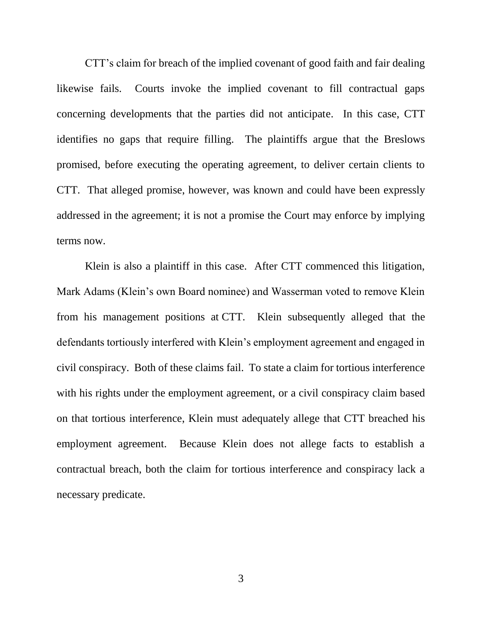CTT's claim for breach of the implied covenant of good faith and fair dealing likewise fails. Courts invoke the implied covenant to fill contractual gaps concerning developments that the parties did not anticipate. In this case, CTT identifies no gaps that require filling. The plaintiffs argue that the Breslows promised, before executing the operating agreement, to deliver certain clients to CTT. That alleged promise, however, was known and could have been expressly addressed in the agreement; it is not a promise the Court may enforce by implying terms now.

Klein is also a plaintiff in this case. After CTT commenced this litigation, Mark Adams (Klein's own Board nominee) and Wasserman voted to remove Klein from his management positions at CTT. Klein subsequently alleged that the defendants tortiously interfered with Klein's employment agreement and engaged in civil conspiracy. Both of these claims fail. To state a claim for tortious interference with his rights under the employment agreement, or a civil conspiracy claim based on that tortious interference, Klein must adequately allege that CTT breached his employment agreement. Because Klein does not allege facts to establish a contractual breach, both the claim for tortious interference and conspiracy lack a necessary predicate.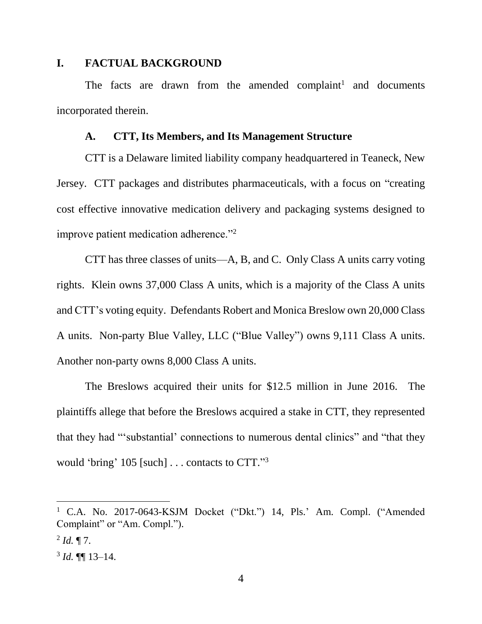# **I. FACTUAL BACKGROUND**

The facts are drawn from the amended complaint<sup>1</sup> and documents incorporated therein.

#### **A. CTT, Its Members, and Its Management Structure**

CTT is a Delaware limited liability company headquartered in Teaneck, New Jersey. CTT packages and distributes pharmaceuticals, with a focus on "creating cost effective innovative medication delivery and packaging systems designed to improve patient medication adherence."<sup>2</sup>

CTT has three classes of units—A, B, and C. Only Class A units carry voting rights. Klein owns 37,000 Class A units, which is a majority of the Class A units and CTT's voting equity. Defendants Robert and Monica Breslow own 20,000 Class A units. Non-party Blue Valley, LLC ("Blue Valley") owns 9,111 Class A units. Another non-party owns 8,000 Class A units.

The Breslows acquired their units for \$12.5 million in June 2016. The plaintiffs allege that before the Breslows acquired a stake in CTT, they represented that they had "'substantial' connections to numerous dental clinics" and "that they would 'bring' 105 [such] . . . contacts to CTT." 3

<sup>&</sup>lt;sup>1</sup> C.A. No. 2017-0643-KSJM Docket ("Dkt.") 14, Pls.' Am. Compl. ("Amended Complaint" or "Am. Compl.").

 $^{2}$  *Id.*  $\P$  7.

 $3$  *Id.*  $\P\P$  13–14.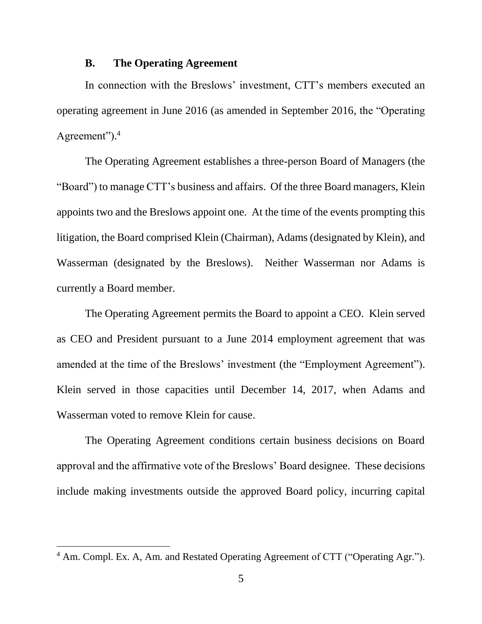#### **B. The Operating Agreement**

In connection with the Breslows' investment, CTT's members executed an operating agreement in June 2016 (as amended in September 2016, the "Operating Agreement").<sup>4</sup>

The Operating Agreement establishes a three-person Board of Managers (the "Board") to manage CTT's business and affairs. Of the three Board managers, Klein appoints two and the Breslows appoint one. At the time of the events prompting this litigation, the Board comprised Klein (Chairman), Adams (designated by Klein), and Wasserman (designated by the Breslows). Neither Wasserman nor Adams is currently a Board member.

The Operating Agreement permits the Board to appoint a CEO. Klein served as CEO and President pursuant to a June 2014 employment agreement that was amended at the time of the Breslows' investment (the "Employment Agreement"). Klein served in those capacities until December 14, 2017, when Adams and Wasserman voted to remove Klein for cause.

The Operating Agreement conditions certain business decisions on Board approval and the affirmative vote of the Breslows' Board designee. These decisions include making investments outside the approved Board policy, incurring capital

<sup>4</sup> Am. Compl. Ex. A, Am. and Restated Operating Agreement of CTT ("Operating Agr.").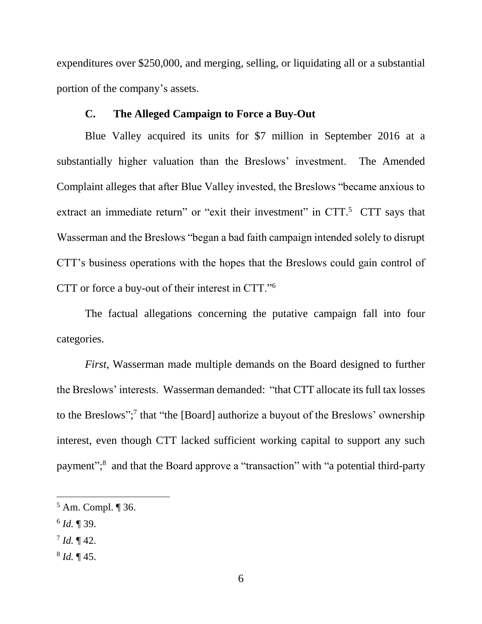expenditures over \$250,000, and merging, selling, or liquidating all or a substantial portion of the company's assets.

#### **C. The Alleged Campaign to Force a Buy-Out**

Blue Valley acquired its units for \$7 million in September 2016 at a substantially higher valuation than the Breslows' investment. The Amended Complaint alleges that after Blue Valley invested, the Breslows "became anxious to extract an immediate return" or "exit their investment" in  $CTT$ .<sup>5</sup>  $CTT$  says that Wasserman and the Breslows "began a bad faith campaign intended solely to disrupt CTT's business operations with the hopes that the Breslows could gain control of CTT or force a buy-out of their interest in CTT."<sup>6</sup>

The factual allegations concerning the putative campaign fall into four categories.

*First*, Wasserman made multiple demands on the Board designed to further the Breslows' interests. Wasserman demanded: "that CTT allocate its full tax losses to the Breslows"; 7 that "the [Board] authorize a buyout of the Breslows' ownership interest, even though CTT lacked sufficient working capital to support any such payment";<sup>8</sup> and that the Board approve a "transaction" with "a potential third-party

 $\overline{a}$ 

8 *Id.* ¶ 45.

 $5$  Am. Compl.  $\P$  36.

<sup>6</sup> *Id.* ¶ 39.

 $^{7}$  *Id.*  $\P$  42.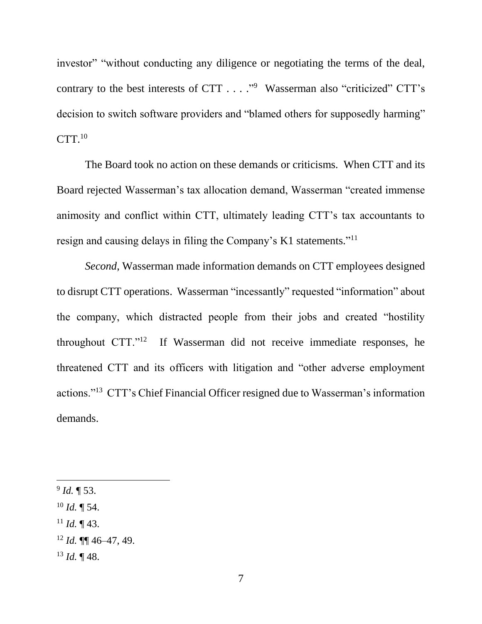investor" "without conducting any diligence or negotiating the terms of the deal, contrary to the best interests of CTT  $\dots$ ."<sup>9</sup> Wasserman also "criticized" CTT's decision to switch software providers and "blamed others for supposedly harming"  $CTT<sup>10</sup>$ 

The Board took no action on these demands or criticisms. When CTT and its Board rejected Wasserman's tax allocation demand, Wasserman "created immense animosity and conflict within CTT, ultimately leading CTT's tax accountants to resign and causing delays in filing the Company's K1 statements."<sup>11</sup>

*Second*, Wasserman made information demands on CTT employees designed to disrupt CTT operations. Wasserman "incessantly" requested "information" about the company, which distracted people from their jobs and created "hostility throughout CTT."<sup>12</sup> If Wasserman did not receive immediate responses, he threatened CTT and its officers with litigation and "other adverse employment actions."<sup>13</sup> CTT's Chief Financial Officer resigned due to Wasserman's information demands.

- $11$  *Id.*  $\P$  43.
- <sup>12</sup> *Id.* ¶¶ 46–47, 49.
- <sup>13</sup> *Id.* ¶ 48.

<sup>9</sup> *Id.* ¶ 53.

 $^{10}$  *Id.* ¶ 54.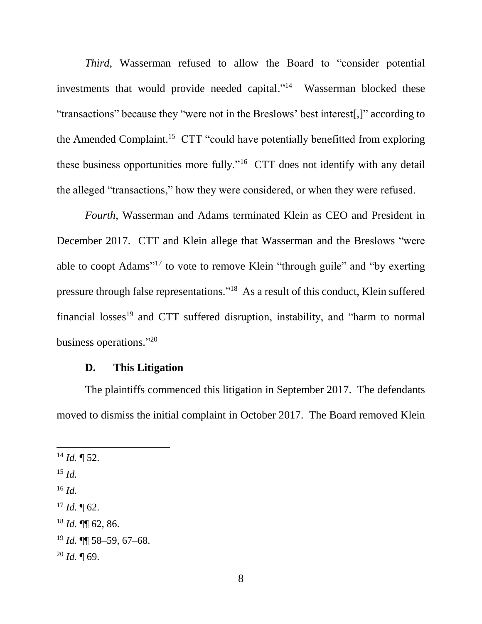*Third*, Wasserman refused to allow the Board to "consider potential investments that would provide needed capital."<sup>14</sup> Wasserman blocked these "transactions" because they "were not in the Breslows' best interest[,]" according to the Amended Complaint.<sup>15</sup> CTT "could have potentially benefitted from exploring these business opportunities more fully."<sup>16</sup> CTT does not identify with any detail the alleged "transactions," how they were considered, or when they were refused.

*Fourth*, Wasserman and Adams terminated Klein as CEO and President in December 2017. CTT and Klein allege that Wasserman and the Breslows "were able to coopt Adams"<sup>17</sup> to vote to remove Klein "through guile" and "by exerting pressure through false representations."<sup>18</sup> As a result of this conduct, Klein suffered financial losses<sup>19</sup> and CTT suffered disruption, instability, and "harm to normal business operations."20

# **D. This Litigation**

The plaintiffs commenced this litigation in September 2017. The defendants moved to dismiss the initial complaint in October 2017. The Board removed Klein

<sup>15</sup> *Id.*

- $^{16}$  *Id.*
- $17$  *Id.*  $\text{T}$  62.
- <sup>18</sup> *Id.* ¶¶ 62, 86.
- <sup>19</sup> *Id.* ¶¶ 58–59, 67–68.
- $^{20}$  *Id.*  $\P$  69.

 $^{14}$  *Id.* ¶ 52.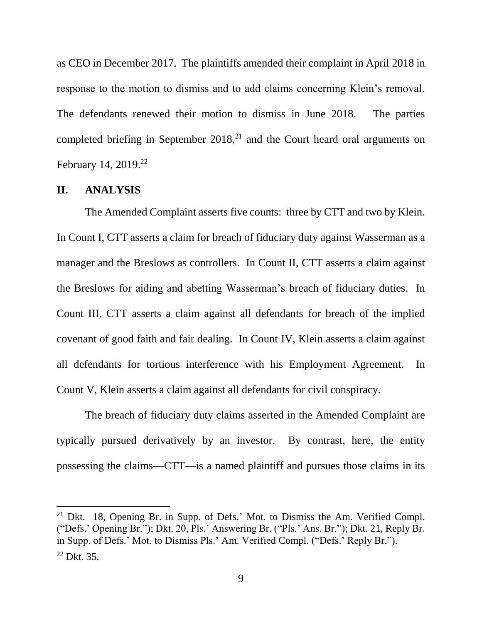as CEO in December 2017. The plaintiffs amended their complaint in April 2018 in response to the motion to dismiss and to add claims concerning Klein's removal. The defendants renewed their motion to dismiss in June 2018. The parties completed briefing in September  $2018<sup>21</sup>$  and the Court heard oral arguments on February 14, 2019.<sup>22</sup>

#### **II. ANALYSIS**

 $\overline{a}$ 

The Amended Complaint asserts five counts: three by CTT and two by Klein. In Count I, CTT asserts a claim for breach of fiduciary duty against Wasserman as a manager and the Breslows as controllers. In Count II, CTT asserts a claim against the Breslows for aiding and abetting Wasserman's breach of fiduciary duties. In Count III, CTT asserts a claim against all defendants for breach of the implied covenant of good faith and fair dealing. In Count IV, Klein asserts a claim against all defendants for tortious interference with his Employment Agreement. In Count V, Klein asserts a claim against all defendants for civil conspiracy.

The breach of fiduciary duty claims asserted in the Amended Complaint are typically pursued derivatively by an investor. By contrast, here, the entity possessing the claims—CTT—is a named plaintiff and pursues those claims in its

<sup>21</sup> Dkt. 18, Opening Br. in Supp. of Defs.' Mot. to Dismiss the Am. Verified Compl. ("Defs.' Opening Br."); Dkt. 20, Pls.' Answering Br. ("Pls.' Ans. Br."); Dkt. 21, Reply Br. in Supp. of Defs.' Mot. to Dismiss Pls.' Am. Verified Compl. ("Defs.' Reply Br.").  $22$  Dkt. 35.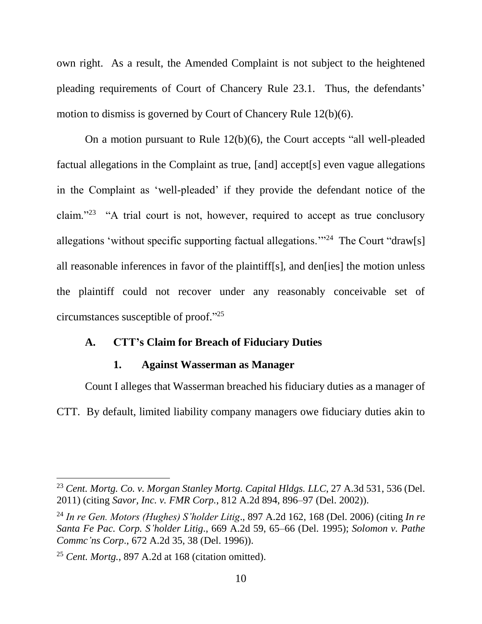own right. As a result, the Amended Complaint is not subject to the heightened pleading requirements of Court of Chancery Rule 23.1. Thus, the defendants' motion to dismiss is governed by Court of Chancery Rule 12(b)(6).

On a motion pursuant to Rule 12(b)(6), the Court accepts "all well-pleaded factual allegations in the Complaint as true, [and] accept[s] even vague allegations in the Complaint as 'well-pleaded' if they provide the defendant notice of the claim."<sup>23</sup> "A trial court is not, however, required to accept as true conclusory allegations 'without specific supporting factual allegations."<sup>24</sup> The Court "draw[s] all reasonable inferences in favor of the plaintiff[s], and den[ies] the motion unless the plaintiff could not recover under any reasonably conceivable set of circumstances susceptible of proof." 25

### **A. CTT's Claim for Breach of Fiduciary Duties**

# **1. Against Wasserman as Manager**

Count I alleges that Wasserman breached his fiduciary duties as a manager of CTT. By default, limited liability company managers owe fiduciary duties akin to

<sup>23</sup> *Cent. Mortg. Co. v. Morgan Stanley Mortg. Capital Hldgs. LLC*, 27 A.3d 531, 536 (Del. 2011) (citing *Savor, Inc. v. FMR Corp.*, 812 A.2d 894, 896–97 (Del. 2002)).

<sup>24</sup> *In re Gen. Motors (Hughes) S'holder Litig*., 897 A.2d 162, 168 (Del. 2006) (citing *In re Santa Fe Pac. Corp. S'holder Litig*., 669 A.2d 59, 65–66 (Del. 1995); *Solomon v. Pathe Commc'ns Corp*., 672 A.2d 35, 38 (Del. 1996)).

<sup>25</sup> *Cent. Mortg.*, 897 A.2d at 168 (citation omitted).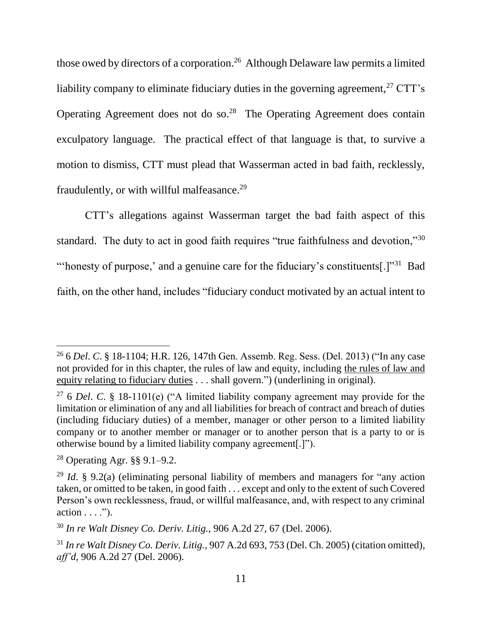those owed by directors of a corporation.<sup>26</sup> Although Delaware law permits a limited liability company to eliminate fiduciary duties in the governing agreement,  $27$  CTT's Operating Agreement does not do so. $28$  The Operating Agreement does contain exculpatory language. The practical effect of that language is that, to survive a motion to dismiss, CTT must plead that Wasserman acted in bad faith, recklessly, fraudulently, or with willful malfeasance.<sup>29</sup>

CTT's allegations against Wasserman target the bad faith aspect of this standard. The duty to act in good faith requires "true faithfulness and devotion,"<sup>30</sup> "honesty of purpose,' and a genuine care for the fiduciary's constituents[.] $"31$  Bad faith, on the other hand, includes "fiduciary conduct motivated by an actual intent to

<sup>26</sup> 6 *Del*. *C*. § 18-1104; H.R. 126, 147th Gen. Assemb. Reg. Sess. (Del. 2013) ("In any case not provided for in this chapter, the rules of law and equity, including the rules of law and equity relating to fiduciary duties . . . shall govern.") (underlining in original).

<sup>27</sup> 6 *Del*. *C*. § 18-1101(e) ("A limited liability company agreement may provide for the limitation or elimination of any and all liabilities for breach of contract and breach of duties (including fiduciary duties) of a member, manager or other person to a limited liability company or to another member or manager or to another person that is a party to or is otherwise bound by a limited liability company agreement[.]").

<sup>28</sup> Operating Agr. §§ 9.1–9.2.

<sup>29</sup> *Id*. § 9.2(a) (eliminating personal liability of members and managers for "any action taken, or omitted to be taken, in good faith . . . except and only to the extent of such Covered Person's own recklessness, fraud, or willful malfeasance, and, with respect to any criminal  $action \ldots$ ").

<sup>30</sup> *In re Walt Disney Co. Deriv. Litig.*, 906 A.2d 27, 67 (Del. 2006).

<sup>31</sup> *In re Walt Disney Co. Deriv. Litig.*, 907 A.2d 693, 753 (Del. Ch. 2005) (citation omitted), *aff'd*, 906 A.2d 27 (Del. 2006).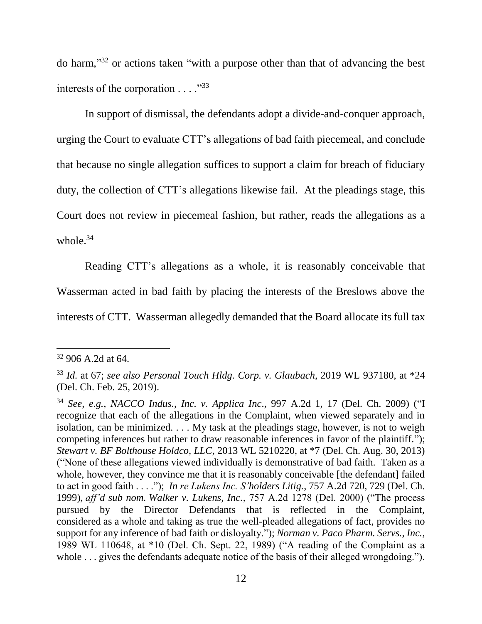do harm," <sup>32</sup> or actions taken "with a purpose other than that of advancing the best interests of the corporation  $\ldots$ ."<sup>33</sup>

In support of dismissal, the defendants adopt a divide-and-conquer approach, urging the Court to evaluate CTT's allegations of bad faith piecemeal, and conclude that because no single allegation suffices to support a claim for breach of fiduciary duty, the collection of CTT's allegations likewise fail. At the pleadings stage, this Court does not review in piecemeal fashion, but rather, reads the allegations as a whole. $34$ 

Reading CTT's allegations as a whole, it is reasonably conceivable that Wasserman acted in bad faith by placing the interests of the Breslows above the interests of CTT. Wasserman allegedly demanded that the Board allocate its full tax

<sup>32</sup> 906 A.2d at 64.

<sup>33</sup> *Id.* at 67; *see also Personal Touch Hldg. Corp. v. Glaubach*, 2019 WL 937180, at \*24 (Del. Ch. Feb. 25, 2019).

<sup>34</sup> *See, e.g.*, *NACCO Indus., Inc. v. Applica Inc*., 997 A.2d 1, 17 (Del. Ch. 2009) ("I recognize that each of the allegations in the Complaint, when viewed separately and in isolation, can be minimized. . . . My task at the pleadings stage, however, is not to weigh competing inferences but rather to draw reasonable inferences in favor of the plaintiff."); *Stewart v. BF Bolthouse Holdco, LLC*, 2013 WL 5210220, at \*7 (Del. Ch. Aug. 30, 2013) ("None of these allegations viewed individually is demonstrative of bad faith. Taken as a whole, however, they convince me that it is reasonably conceivable [the defendant] failed to act in good faith . . . ."); *In re Lukens Inc. S'holders Litig.*, 757 A.2d 720, 729 (Del. Ch. 1999), *aff'd sub nom. Walker v. Lukens, Inc.*, 757 A.2d 1278 (Del. 2000) ("The process pursued by the Director Defendants that is reflected in the Complaint, considered as a whole and taking as true the well-pleaded allegations of fact, provides no support for any inference of bad faith or disloyalty."); *Norman v. Paco Pharm. Servs., Inc.*, 1989 WL 110648, at \*10 (Del. Ch. Sept. 22, 1989) ("A reading of the Complaint as a whole ... gives the defendants adequate notice of the basis of their alleged wrongdoing.").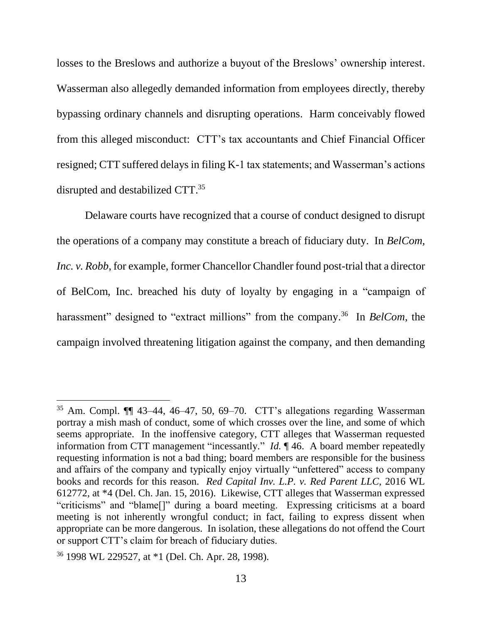losses to the Breslows and authorize a buyout of the Breslows' ownership interest. Wasserman also allegedly demanded information from employees directly, thereby bypassing ordinary channels and disrupting operations. Harm conceivably flowed from this alleged misconduct: CTT's tax accountants and Chief Financial Officer resigned; CTT suffered delays in filing K-1 tax statements; and Wasserman's actions disrupted and destabilized CTT. 35

Delaware courts have recognized that a course of conduct designed to disrupt the operations of a company may constitute a breach of fiduciary duty. In *BelCom, Inc. v. Robb*, for example, former Chancellor Chandler found post-trial that a director of BelCom, Inc. breached his duty of loyalty by engaging in a "campaign of harassment" designed to "extract millions" from the company.<sup>36</sup> In *BelCom*, the campaign involved threatening litigation against the company, and then demanding

<sup>35</sup> Am. Compl. ¶¶ 43–44, 46–47, 50, 69–70. CTT's allegations regarding Wasserman portray a mish mash of conduct, some of which crosses over the line, and some of which seems appropriate. In the inoffensive category, CTT alleges that Wasserman requested information from CTT management "incessantly." *Id.* ¶ 46. A board member repeatedly requesting information is not a bad thing; board members are responsible for the business and affairs of the company and typically enjoy virtually "unfettered" access to company books and records for this reason. *Red Capital Inv. L.P. v. Red Parent LLC*, 2016 WL 612772, at \*4 (Del. Ch. Jan. 15, 2016). Likewise, CTT alleges that Wasserman expressed "criticisms" and "blame[]" during a board meeting. Expressing criticisms at a board meeting is not inherently wrongful conduct; in fact, failing to express dissent when appropriate can be more dangerous. In isolation, these allegations do not offend the Court or support CTT's claim for breach of fiduciary duties.

<sup>36</sup> 1998 WL 229527, at \*1 (Del. Ch. Apr. 28, 1998).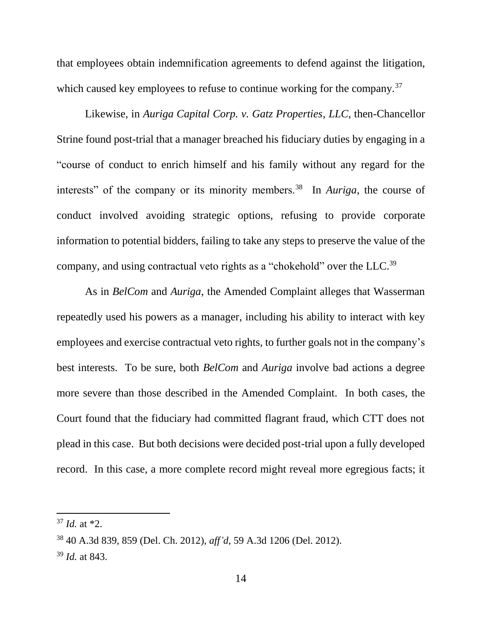that employees obtain indemnification agreements to defend against the litigation, which caused key employees to refuse to continue working for the company.<sup>37</sup>

Likewise, in *Auriga Capital Corp. v. Gatz Properties, LLC*, then-Chancellor Strine found post-trial that a manager breached his fiduciary duties by engaging in a "course of conduct to enrich himself and his family without any regard for the interests" of the company or its minority members.<sup>38</sup> In *Auriga*, the course of conduct involved avoiding strategic options, refusing to provide corporate information to potential bidders, failing to take any steps to preserve the value of the company, and using contractual veto rights as a "chokehold" over the LLC.<sup>39</sup>

As in *BelCom* and *Auriga*, the Amended Complaint alleges that Wasserman repeatedly used his powers as a manager, including his ability to interact with key employees and exercise contractual veto rights, to further goals not in the company's best interests. To be sure, both *BelCom* and *Auriga* involve bad actions a degree more severe than those described in the Amended Complaint. In both cases, the Court found that the fiduciary had committed flagrant fraud, which CTT does not plead in this case. But both decisions were decided post-trial upon a fully developed record. In this case, a more complete record might reveal more egregious facts; it

 $37$  *Id.* at  $*2$ .

<sup>38</sup> 40 A.3d 839, 859 (Del. Ch. 2012), *aff'd*, 59 A.3d 1206 (Del. 2012).

<sup>39</sup> *Id.* at 843.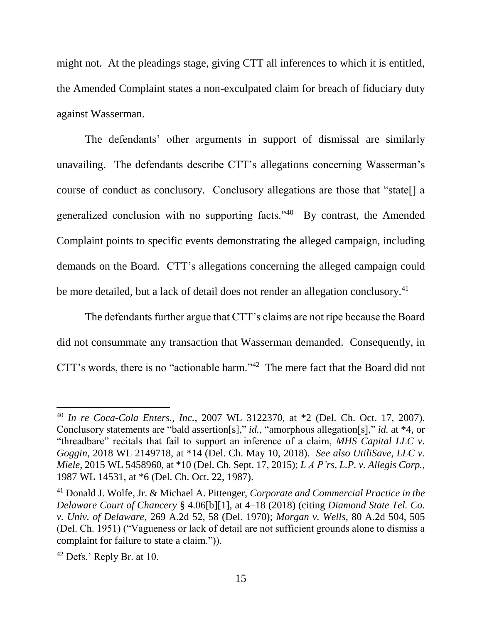might not. At the pleadings stage, giving CTT all inferences to which it is entitled, the Amended Complaint states a non-exculpated claim for breach of fiduciary duty against Wasserman.

The defendants' other arguments in support of dismissal are similarly unavailing. The defendants describe CTT's allegations concerning Wasserman's course of conduct as conclusory. Conclusory allegations are those that "state[] a generalized conclusion with no supporting facts."<sup>40</sup> By contrast, the Amended Complaint points to specific events demonstrating the alleged campaign, including demands on the Board. CTT's allegations concerning the alleged campaign could be more detailed, but a lack of detail does not render an allegation conclusory.<sup>41</sup>

The defendants further argue that CTT's claims are not ripe because the Board did not consummate any transaction that Wasserman demanded. Consequently, in CTT's words, there is no "actionable harm."<sup>42</sup> The mere fact that the Board did not

<sup>40</sup> *In re Coca-Cola Enters., Inc.*, 2007 WL 3122370, at \*2 (Del. Ch. Oct. 17, 2007). Conclusory statements are "bald assertion[s]," *id.*, "amorphous allegation[s]," *id.* at \*4, or "threadbare" recitals that fail to support an inference of a claim, *MHS Capital LLC v. Goggin*, 2018 WL 2149718, at \*14 (Del. Ch. May 10, 2018). *See also UtiliSave, LLC v. Miele*, 2015 WL 5458960, at \*10 (Del. Ch. Sept. 17, 2015); *L A P'rs, L.P. v. Allegis Corp.*, 1987 WL 14531, at \*6 (Del. Ch. Oct. 22, 1987).

<sup>41</sup> Donald J. Wolfe, Jr. & Michael A. Pittenger, *Corporate and Commercial Practice in the Delaware Court of Chancery* § 4.06[b][1], at 4–18 (2018) (citing *Diamond State Tel. Co. v. Univ. of Delaware*, 269 A.2d 52, 58 (Del. 1970); *Morgan v. Wells*, 80 A.2d 504, 505 (Del. Ch. 1951) ("Vagueness or lack of detail are not sufficient grounds alone to dismiss a complaint for failure to state a claim.")).

<sup>42</sup> Defs.' Reply Br. at 10.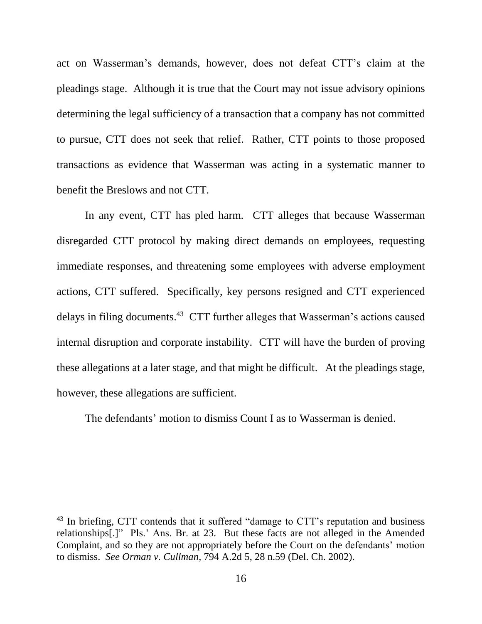act on Wasserman's demands, however, does not defeat CTT's claim at the pleadings stage. Although it is true that the Court may not issue advisory opinions determining the legal sufficiency of a transaction that a company has not committed to pursue, CTT does not seek that relief. Rather, CTT points to those proposed transactions as evidence that Wasserman was acting in a systematic manner to benefit the Breslows and not CTT.

In any event, CTT has pled harm. CTT alleges that because Wasserman disregarded CTT protocol by making direct demands on employees, requesting immediate responses, and threatening some employees with adverse employment actions, CTT suffered. Specifically, key persons resigned and CTT experienced delays in filing documents. 43 CTT further alleges that Wasserman's actions caused internal disruption and corporate instability. CTT will have the burden of proving these allegations at a later stage, and that might be difficult. At the pleadings stage, however, these allegations are sufficient.

The defendants' motion to dismiss Count I as to Wasserman is denied.

<sup>&</sup>lt;sup>43</sup> In briefing, CTT contends that it suffered "damage to CTT's reputation and business relationships[.]" Pls.' Ans. Br. at 23. But these facts are not alleged in the Amended Complaint, and so they are not appropriately before the Court on the defendants' motion to dismiss. *See Orman v. Cullman*, 794 A.2d 5, 28 n.59 (Del. Ch. 2002).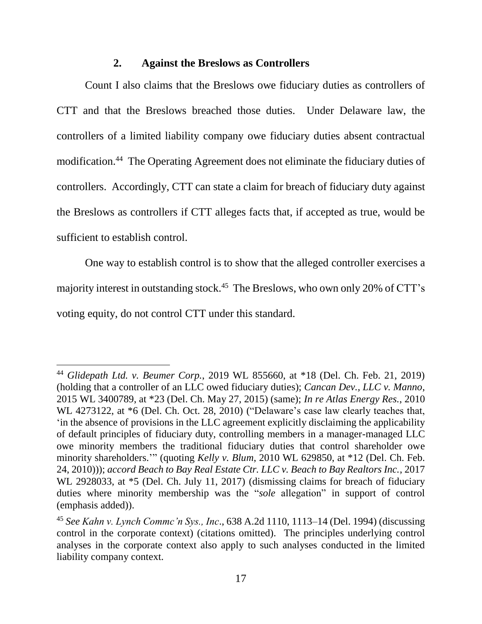#### **2. Against the Breslows as Controllers**

Count I also claims that the Breslows owe fiduciary duties as controllers of CTT and that the Breslows breached those duties. Under Delaware law, the controllers of a limited liability company owe fiduciary duties absent contractual modification.<sup>44</sup> The Operating Agreement does not eliminate the fiduciary duties of controllers. Accordingly, CTT can state a claim for breach of fiduciary duty against the Breslows as controllers if CTT alleges facts that, if accepted as true, would be sufficient to establish control.

One way to establish control is to show that the alleged controller exercises a majority interest in outstanding stock.<sup>45</sup> The Breslows, who own only 20% of CTT's voting equity, do not control CTT under this standard.

<sup>44</sup> *Glidepath Ltd. v. Beumer Corp.*, 2019 WL 855660, at \*18 (Del. Ch. Feb. 21, 2019) (holding that a controller of an LLC owed fiduciary duties); *Cancan Dev., LLC v. Manno*, 2015 WL 3400789, at \*23 (Del. Ch. May 27, 2015) (same); *In re Atlas Energy Res.*, 2010 WL 4273122, at \*6 (Del. Ch. Oct. 28, 2010) ("Delaware's case law clearly teaches that, 'in the absence of provisions in the LLC agreement explicitly disclaiming the applicability of default principles of fiduciary duty, controlling members in a manager-managed LLC owe minority members the traditional fiduciary duties that control shareholder owe minority shareholders.'" (quoting *Kelly v. Blum*, 2010 WL 629850, at \*12 (Del. Ch. Feb. 24, 2010))); *accord Beach to Bay Real Estate Ctr. LLC v. Beach to Bay Realtors Inc.*, 2017 WL 2928033, at  $*5$  (Del. Ch. July 11, 2017) (dismissing claims for breach of fiduciary duties where minority membership was the "*sole* allegation" in support of control (emphasis added)).

<sup>45</sup> *See Kahn v. Lynch Commc'n Sys., Inc*., 638 A.2d 1110, 1113–14 (Del. 1994) (discussing control in the corporate context) (citations omitted). The principles underlying control analyses in the corporate context also apply to such analyses conducted in the limited liability company context.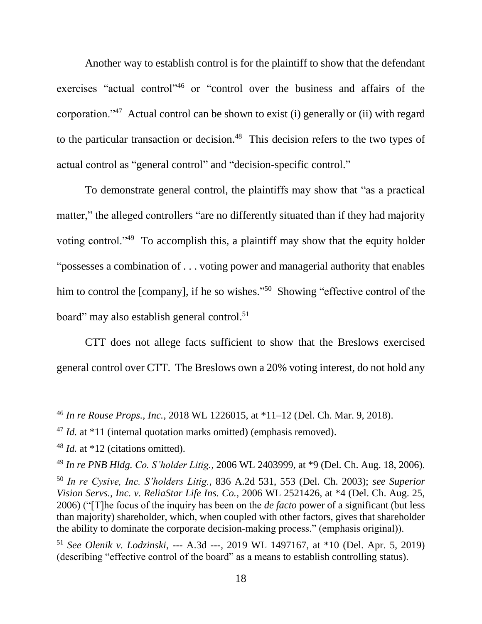Another way to establish control is for the plaintiff to show that the defendant exercises "actual control"<sup>46</sup> or "control over the business and affairs of the corporation."<sup>47</sup> Actual control can be shown to exist (i) generally or (ii) with regard to the particular transaction or decision.<sup>48</sup> This decision refers to the two types of actual control as "general control" and "decision-specific control."

To demonstrate general control, the plaintiffs may show that "as a practical matter," the alleged controllers "are no differently situated than if they had majority voting control."<sup>49</sup> To accomplish this, a plaintiff may show that the equity holder "possesses a combination of . . . voting power and managerial authority that enables him to control the [company], if he so wishes."<sup>50</sup> Showing "effective control of the board" may also establish general control.<sup>51</sup>

CTT does not allege facts sufficient to show that the Breslows exercised general control over CTT. The Breslows own a 20% voting interest, do not hold any

<sup>46</sup> *In re Rouse Props., Inc.*, 2018 WL 1226015, at \*11–12 (Del. Ch. Mar. 9, 2018).

<sup>&</sup>lt;sup>47</sup> *Id.* at \*11 (internal quotation marks omitted) (emphasis removed).

<sup>&</sup>lt;sup>48</sup> *Id.* at \*12 (citations omitted).

<sup>49</sup> *In re PNB Hldg. Co. S'holder Litig.*, 2006 WL 2403999, at \*9 (Del. Ch. Aug. 18, 2006).

<sup>50</sup> *In re Cysive, Inc. S'holders Litig.*, 836 A.2d 531, 553 (Del. Ch. 2003); *see Superior Vision Servs., Inc. v. ReliaStar Life Ins. Co.*, 2006 WL 2521426, at \*4 (Del. Ch. Aug. 25, 2006) ("[T]he focus of the inquiry has been on the *de facto* power of a significant (but less than majority) shareholder, which, when coupled with other factors, gives that shareholder the ability to dominate the corporate decision-making process." (emphasis original)).

<sup>51</sup> *See Olenik v. Lodzinski*, --- A.3d ---, 2019 WL 1497167, at \*10 (Del. Apr. 5, 2019) (describing "effective control of the board" as a means to establish controlling status).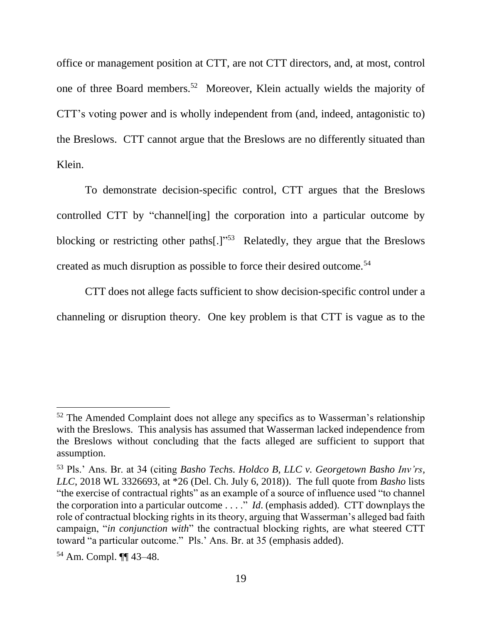office or management position at CTT, are not CTT directors, and, at most, control one of three Board members.<sup>52</sup> Moreover, Klein actually wields the majority of CTT's voting power and is wholly independent from (and, indeed, antagonistic to) the Breslows. CTT cannot argue that the Breslows are no differently situated than Klein.

To demonstrate decision-specific control, CTT argues that the Breslows controlled CTT by "channel[ing] the corporation into a particular outcome by blocking or restricting other paths[.]"<sup>53</sup> Relatedly, they argue that the Breslows created as much disruption as possible to force their desired outcome.<sup>54</sup>

CTT does not allege facts sufficient to show decision-specific control under a channeling or disruption theory. One key problem is that CTT is vague as to the

 $52$  The Amended Complaint does not allege any specifics as to Wasserman's relationship with the Breslows. This analysis has assumed that Wasserman lacked independence from the Breslows without concluding that the facts alleged are sufficient to support that assumption.

<sup>53</sup> Pls.' Ans. Br. at 34 (citing *Basho Techs. Holdco B, LLC v. Georgetown Basho Inv'rs, LLC*, 2018 WL 3326693, at \*26 (Del. Ch. July 6, 2018)). The full quote from *Basho* lists "the exercise of contractual rights" as an example of a source of influence used "to channel the corporation into a particular outcome . . . ." *Id*. (emphasis added). CTT downplays the role of contractual blocking rights in its theory, arguing that Wasserman's alleged bad faith campaign, "*in conjunction with*" the contractual blocking rights, are what steered CTT toward "a particular outcome." Pls.' Ans. Br. at 35 (emphasis added).

<sup>54</sup> Am. Compl. ¶¶ 43–48.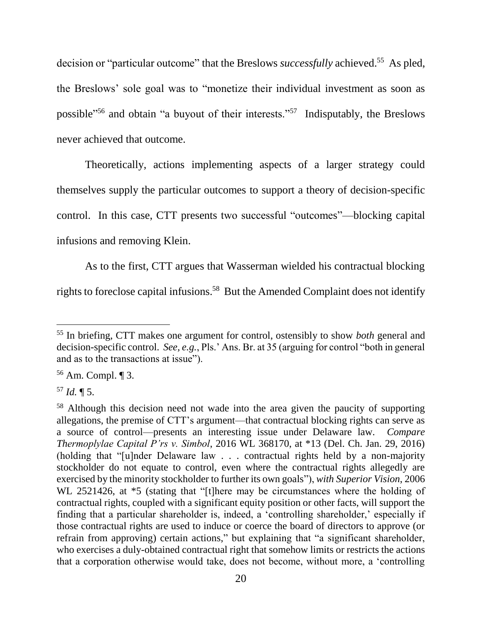decision or "particular outcome" that the Breslows *successfully* achieved.<sup>55</sup> As pled, the Breslows' sole goal was to "monetize their individual investment as soon as possible<sup>156</sup> and obtain "a buyout of their interests.<sup>157</sup> Indisputably, the Breslows never achieved that outcome.

Theoretically, actions implementing aspects of a larger strategy could themselves supply the particular outcomes to support a theory of decision-specific control. In this case, CTT presents two successful "outcomes"—blocking capital infusions and removing Klein.

As to the first, CTT argues that Wasserman wielded his contractual blocking rights to foreclose capital infusions.<sup>58</sup> But the Amended Complaint does not identify

<sup>55</sup> In briefing, CTT makes one argument for control, ostensibly to show *both* general and decision-specific control. *See, e.g.*, Pls.' Ans. Br. at 35 (arguing for control "both in general and as to the transactions at issue").

<sup>56</sup> Am. Compl. ¶ 3.

<sup>57</sup> *Id.* ¶ 5.

<sup>58</sup> Although this decision need not wade into the area given the paucity of supporting allegations, the premise of CTT's argument—that contractual blocking rights can serve as a source of control—presents an interesting issue under Delaware law. *Compare Thermoplylae Capital P'rs v. Simbol*, 2016 WL 368170, at \*13 (Del. Ch. Jan. 29, 2016) (holding that "[u]nder Delaware law . . . contractual rights held by a non-majority stockholder do not equate to control, even where the contractual rights allegedly are exercised by the minority stockholder to further its own goals"), *with Superior Vision*, 2006 WL 2521426, at  $*5$  (stating that "[t]here may be circumstances where the holding of contractual rights, coupled with a significant equity position or other facts, will support the finding that a particular shareholder is, indeed, a 'controlling shareholder,' especially if those contractual rights are used to induce or coerce the board of directors to approve (or refrain from approving) certain actions," but explaining that "a significant shareholder, who exercises a duly-obtained contractual right that somehow limits or restricts the actions that a corporation otherwise would take, does not become, without more, a 'controlling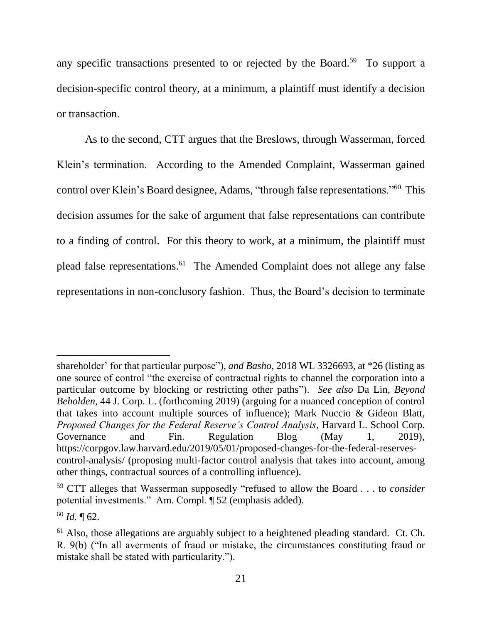any specific transactions presented to or rejected by the Board.<sup>59</sup> To support a decision-specific control theory, at a minimum, a plaintiff must identify a decision or transaction.

As to the second, CTT argues that the Breslows, through Wasserman, forced Klein's termination. According to the Amended Complaint, Wasserman gained control over Klein's Board designee, Adams, "through false representations."<sup>60</sup> This decision assumes for the sake of argument that false representations can contribute to a finding of control. For this theory to work, at a minimum, the plaintiff must plead false representations. 61 The Amended Complaint does not allege any false representations in non-conclusory fashion. Thus, the Board's decision to terminate

shareholder' for that particular purpose"), *and Basho*, 2018 WL 3326693, at \*26 (listing as one source of control "the exercise of contractual rights to channel the corporation into a particular outcome by blocking or restricting other paths"). *See also* Da Lin, *Beyond Beholden*, 44 J. Corp. L. (forthcoming 2019) (arguing for a nuanced conception of control that takes into account multiple sources of influence); Mark Nuccio & Gideon Blatt, *Proposed Changes for the Federal Reserve's Control Analysis*, Harvard L. School Corp. Governance and Fin. Regulation Blog (May 1, 2019), https://corpgov.law.harvard.edu/2019/05/01/proposed-changes-for-the-federal-reservescontrol-analysis/ (proposing multi-factor control analysis that takes into account, among other things, contractual sources of a controlling influence).

<sup>59</sup> CTT alleges that Wasserman supposedly "refused to allow the Board . . . to *consider* potential investments." Am. Compl. ¶ 52 (emphasis added).

 $60$  *Id.* 162.

 $61$  Also, those allegations are arguably subject to a heightened pleading standard. Ct. Ch. R. 9(b) ("In all averments of fraud or mistake, the circumstances constituting fraud or mistake shall be stated with particularity.").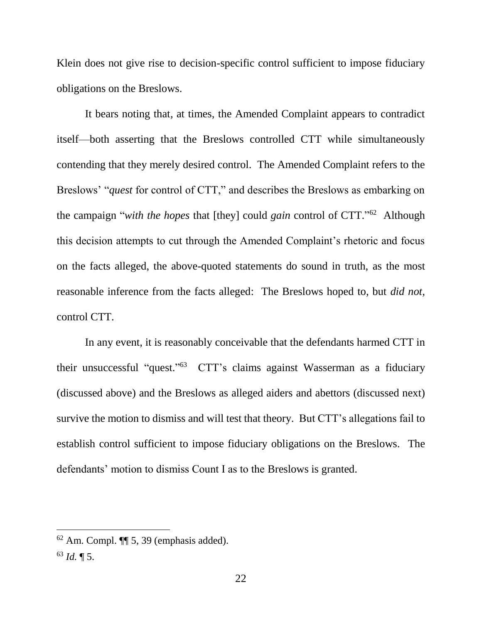Klein does not give rise to decision-specific control sufficient to impose fiduciary obligations on the Breslows.

It bears noting that, at times, the Amended Complaint appears to contradict itself—both asserting that the Breslows controlled CTT while simultaneously contending that they merely desired control. The Amended Complaint refers to the Breslows' "*quest* for control of CTT," and describes the Breslows as embarking on the campaign "*with the hopes* that [they] could *gain* control of CTT." 62 Although this decision attempts to cut through the Amended Complaint's rhetoric and focus on the facts alleged, the above-quoted statements do sound in truth, as the most reasonable inference from the facts alleged: The Breslows hoped to, but *did not*, control CTT.

In any event, it is reasonably conceivable that the defendants harmed CTT in their unsuccessful "quest." <sup>63</sup> CTT's claims against Wasserman as a fiduciary (discussed above) and the Breslows as alleged aiders and abettors (discussed next) survive the motion to dismiss and will test that theory. But CTT's allegations fail to establish control sufficient to impose fiduciary obligations on the Breslows. The defendants' motion to dismiss Count I as to the Breslows is granted.

 $62$  Am. Compl.  $\P$  5, 39 (emphasis added).

<sup>63</sup> *Id.* ¶ 5.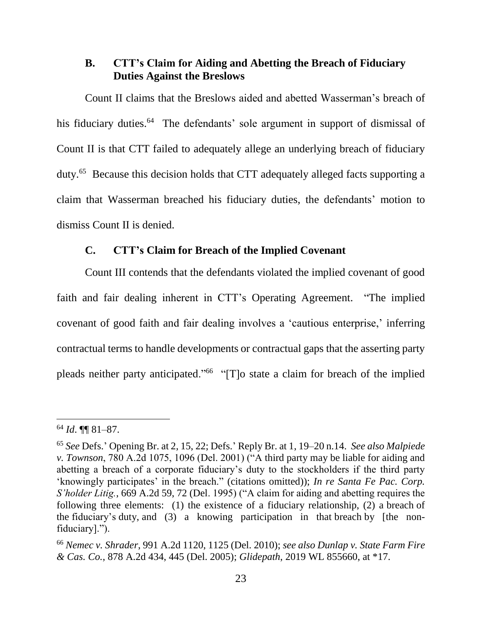# **B. CTT's Claim for Aiding and Abetting the Breach of Fiduciary Duties Against the Breslows**

Count II claims that the Breslows aided and abetted Wasserman's breach of his fiduciary duties.<sup>64</sup> The defendants' sole argument in support of dismissal of Count II is that CTT failed to adequately allege an underlying breach of fiduciary duty.<sup>65</sup> Because this decision holds that CTT adequately alleged facts supporting a claim that Wasserman breached his fiduciary duties, the defendants' motion to dismiss Count II is denied.

# **C. CTT's Claim for Breach of the Implied Covenant**

Count III contends that the defendants violated the implied covenant of good faith and fair dealing inherent in CTT's Operating Agreement. "The implied covenant of good faith and fair dealing involves a 'cautious enterprise,' inferring contractual terms to handle developments or contractual gaps that the asserting party pleads neither party anticipated."<sup>66</sup> "[T]o state a claim for breach of the implied

<sup>64</sup> *Id*. ¶¶ 81–87.

<sup>65</sup> *See* Defs.' Opening Br. at 2, 15, 22; Defs.' Reply Br. at 1, 19–20 n.14. *See also Malpiede v. Townson*, 780 A.2d 1075, 1096 (Del. 2001) ("A third party may be liable for aiding and abetting a breach of a corporate fiduciary's duty to the stockholders if the third party 'knowingly participates' in the breach." (citations omitted)); *In re Santa Fe Pac. Corp. S'holder Litig.*, 669 A.2d 59, 72 (Del. 1995) ("A claim for aiding and abetting requires the following three elements: (1) the existence of a fiduciary relationship, (2) a breach of the fiduciary's duty, and (3) a knowing participation in that breach by [the nonfiduciary].").

<sup>66</sup> *Nemec v. Shrader*, 991 A.2d 1120, 1125 (Del. 2010); *see also Dunlap v. State Farm Fire & Cas. Co.*, 878 A.2d 434, 445 (Del. 2005); *Glidepath*, 2019 WL 855660, at \*17.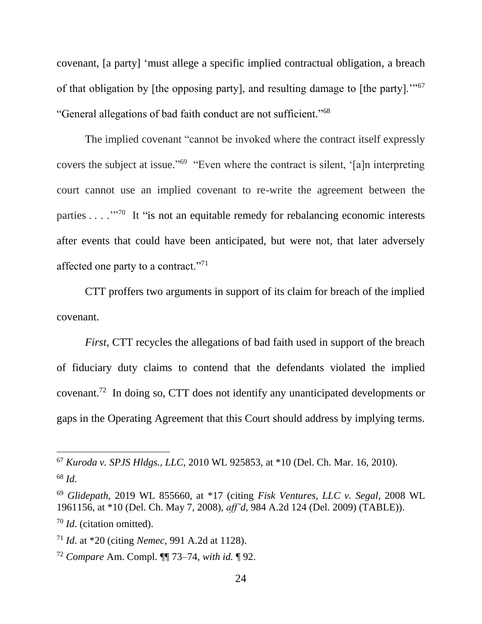covenant, [a party] 'must allege a specific implied contractual obligation, a breach of that obligation by [the opposing party], and resulting damage to [the party].'"<sup>67</sup> "General allegations of bad faith conduct are not sufficient."<sup>68</sup>

The implied covenant "cannot be invoked where the contract itself expressly covers the subject at issue." 69 "Even where the contract is silent, '[a]n interpreting court cannot use an implied covenant to re-write the agreement between the parties  $\dots$   $\cdots$  <sup>770</sup> It "is not an equitable remedy for rebalancing economic interests after events that could have been anticipated, but were not, that later adversely affected one party to a contract."<sup>71</sup>

CTT proffers two arguments in support of its claim for breach of the implied covenant.

*First*, CTT recycles the allegations of bad faith used in support of the breach of fiduciary duty claims to contend that the defendants violated the implied covenant.<sup>72</sup> In doing so, CTT does not identify any unanticipated developments or gaps in the Operating Agreement that this Court should address by implying terms.

<sup>67</sup> *Kuroda v. SPJS Hldgs., LLC*, 2010 WL 925853, at \*10 (Del. Ch. Mar. 16, 2010).

<sup>68</sup> *Id.*

<sup>69</sup> *Glidepath*, 2019 WL 855660, at \*17 (citing *Fisk Ventures, LLC v. Segal*, 2008 WL 1961156, at \*10 (Del. Ch. May 7, 2008), *aff'd*, 984 A.2d 124 (Del. 2009) (TABLE)).

<sup>70</sup> *Id*. (citation omitted).

<sup>71</sup> *Id*. at \*20 (citing *Nemec*, 991 A.2d at 1128).

<sup>72</sup> *Compare* Am. Compl. ¶¶ 73–74, *with id.* ¶ 92.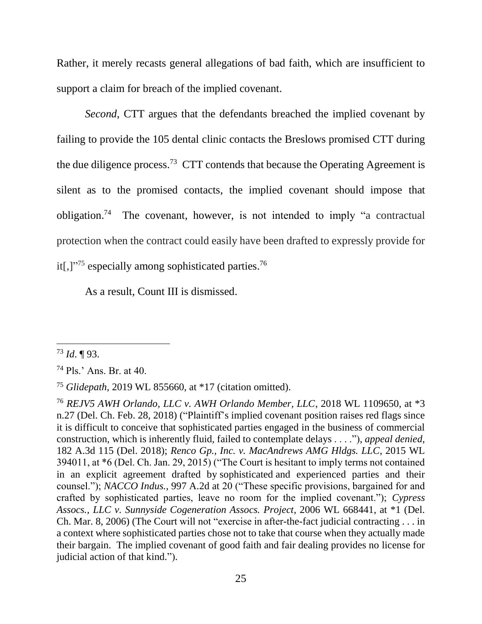Rather, it merely recasts general allegations of bad faith, which are insufficient to support a claim for breach of the implied covenant.

*Second*, CTT argues that the defendants breached the implied covenant by failing to provide the 105 dental clinic contacts the Breslows promised CTT during the due diligence process.<sup>73</sup> CTT contends that because the Operating Agreement is silent as to the promised contacts, the implied covenant should impose that obligation.<sup>74</sup> The covenant, however, is not intended to imply "a contractual protection when the contract could easily have been drafted to expressly provide for it[,]"<sup>75</sup> especially among sophisticated parties.<sup>76</sup>

As a result, Count III is dismissed.

<sup>73</sup> *Id*. ¶ 93.

<sup>74</sup> Pls.' Ans. Br. at 40.

<sup>75</sup> *Glidepath*, 2019 WL 855660, at \*17 (citation omitted).

<sup>76</sup> *REJV5 AWH Orlando, LLC v. AWH Orlando Member, LLC*, 2018 WL 1109650, at \*3 n.27 (Del. Ch. Feb. 28, 2018) ("Plaintiff's implied covenant position raises red flags since it is difficult to conceive that sophisticated parties engaged in the business of commercial construction, which is inherently fluid, failed to contemplate delays . . . ."), *appeal denied*, 182 A.3d 115 (Del. 2018); *Renco Gp., Inc. v. MacAndrews AMG Hldgs. LLC*, 2015 WL 394011, at \*6 (Del. Ch. Jan. 29, 2015) ("The Court is hesitant to imply terms not contained in an explicit agreement drafted by sophisticated and experienced parties and their counsel."); *NACCO Indus.*, 997 A.2d at 20 ("These specific provisions, bargained for and crafted by sophisticated parties, leave no room for the implied covenant."); *Cypress Assocs., LLC v. Sunnyside Cogeneration Assocs. Project*, 2006 WL 668441, at \*1 (Del. Ch. Mar. 8, 2006) (The Court will not "exercise in after-the-fact judicial contracting . . . in a context where sophisticated parties chose not to take that course when they actually made their bargain. The implied covenant of good faith and fair dealing provides no license for judicial action of that kind.").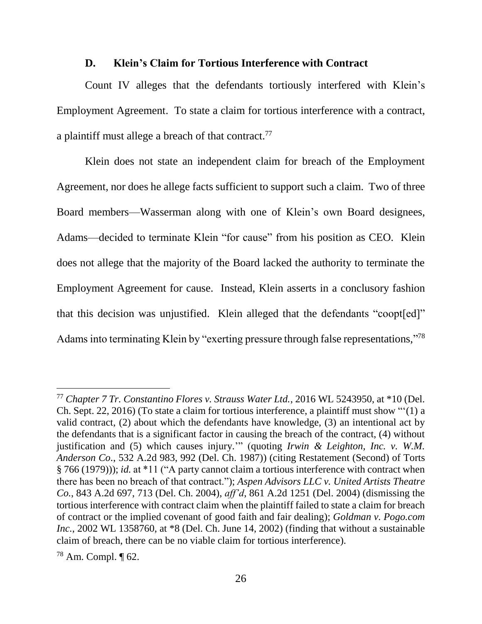#### **D. Klein's Claim for Tortious Interference with Contract**

Count IV alleges that the defendants tortiously interfered with Klein's Employment Agreement. To state a claim for tortious interference with a contract, a plaintiff must allege a breach of that contract.<sup>77</sup>

Klein does not state an independent claim for breach of the Employment Agreement, nor does he allege facts sufficient to support such a claim. Two of three Board members—Wasserman along with one of Klein's own Board designees, Adams—decided to terminate Klein "for cause" from his position as CEO. Klein does not allege that the majority of the Board lacked the authority to terminate the Employment Agreement for cause. Instead, Klein asserts in a conclusory fashion that this decision was unjustified. Klein alleged that the defendants "coopt[ed]" Adams into terminating Klein by "exerting pressure through false representations,"<sup>78</sup>

<sup>77</sup> *Chapter 7 Tr. Constantino Flores v. Strauss Water Ltd.*, 2016 WL 5243950, at \*10 (Del. Ch. Sept. 22, 2016) (To state a claim for tortious interference, a plaintiff must show "'(1) a valid contract, (2) about which the defendants have knowledge, (3) an intentional act by the defendants that is a significant factor in causing the breach of the contract, (4) without justification and (5) which causes injury.'" (quoting *Irwin & Leighton, Inc. v. W.M. Anderson Co*., 532 A.2d 983, 992 (Del. Ch. 1987)) (citing Restatement (Second) of Torts § 766 (1979))); *id.* at \*11 ("A party cannot claim a tortious interference with contract when there has been no breach of that contract."); *Aspen Advisors LLC v. United Artists Theatre Co.*, 843 A.2d 697, 713 (Del. Ch. 2004), *aff'd*, 861 A.2d 1251 (Del. 2004) (dismissing the tortious interference with contract claim when the plaintiff failed to state a claim for breach of contract or the implied covenant of good faith and fair dealing); *Goldman v. Pogo.com Inc.*, 2002 WL 1358760, at \*8 (Del. Ch. June 14, 2002) (finding that without a sustainable claim of breach, there can be no viable claim for tortious interference).

 $78$  Am. Compl.  $\P$  62.